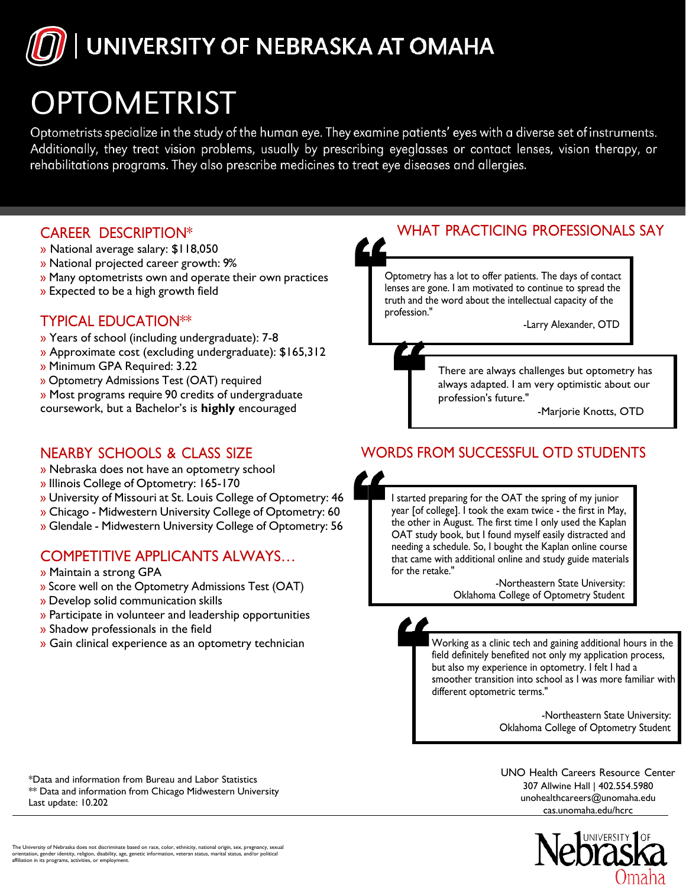

# **OPTOMETRIST**

Optometrists specialize in the study of the human eye. They examine patients' eyes with a diverse set of instruments. Additionally, they treat vision problems, usually by prescribing eyeglasses or contact lenses, vision therapy, or rehabilitations programs. They also prescribe medicines to treat eye diseases and allergies.

#### CAREER DESCRIPTION\*

- » National average salary: \$118,050
- » National projected career growth: 9%
- » Many optometrists own and operate their own practices
- » Expected to be a high growth field

## TYPICAL EDUCATION\*\*

- » Years of school (including undergraduate): 7-8
- » Approximate cost (excluding undergraduate): \$165,312
- » Minimum GPA Required: 3.22
- » Optometry Admissions Test (OAT) required
- » Most programs require 90 credits of undergraduate

coursework, but a Bachelor's is **highly** encouraged

## NEARBY SCHOOLS & CLASS SIZE

- » Nebraska does not have an optometry school
- » Illinois College of Optometry: 165-170
- » University of Missouri at St. Louis College of Optometry: 46
- » Chicago Midwestern University College of Optometry: 60
- » Glendale Midwestern University College of Optometry: 56

## COMPETITIVE APPLICANTS ALWAYS…

- » Maintain a strong GPA
- » Score well on the Optometry Admissions Test (OAT)
- » Develop solid communication skills
- » Participate in volunteer and leadership opportunities
- » Shadow professionals in the field
- » Gain clinical experience as an optometry technician

# WHAT PRACTICING PROFESSIONALS SAY

Optometry has a lot to offer patients. The days of contact lenses are gone. I am motivated to continue to spread the truth and the word about the intellectual capacity of the profession."

-Larry Alexander, OTD

There are always challenges but optometry has always adapted. I am very optimistic about our profession's future."

-Marjorie Knotts, OTD

## WORDS FROM SUCCESSFUL OTD STUDENTS

I started preparing for the OAT the spring of my junior year [of college]. I took the exam twice - the first in May, the other in August. The first time I only used the Kaplan OAT study book, but I found myself easily distracted and needing a schedule. So, I bought the Kaplan online course that came with additional online and study guide materials for the retake."

 -Northeastern State University: Oklahoma College of Optometry Student

Working as a clinic tech and gaining additional hours in the field definitely benefited not only my application process, but also my experience in optometry. I felt I had a smoother transition into school as I was more familiar with different optometric terms."

> -Northeastern State University: Oklahoma College of Optometry Student

[UN](mailto:unohealthcareers@unomaha.edu)O Health [Careers](mailto:unohealthcareers@unomaha.edu) Resource Center 307 Allwine Hall | 402.554.5980 unohealthcareers@unomaha.edu cas.unomaha.edu/hcrc



Last update: 10.202

\*Data and information from Bureau and Labor Statistics \*\* Data and information from Chicago Midwestern University